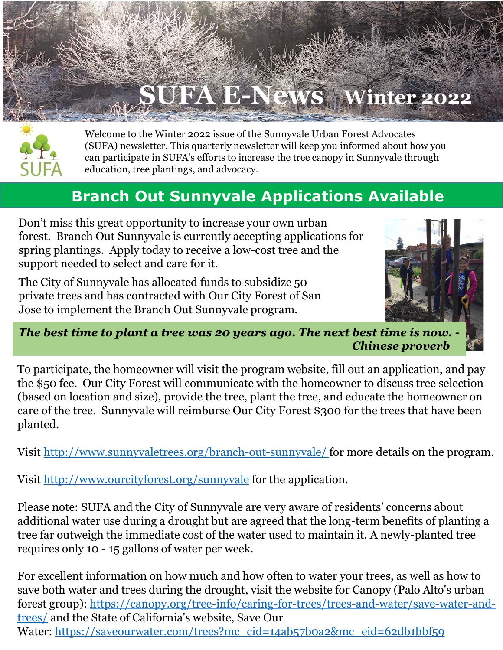



Welcome to the Winter 2022 issue of the Sunnyvale Urban Forest Advocates (SUFA) newsletter. This quarterly newsletter will keep you informed about how you can participate in SUFA's efforts to increase the tree canopy in Sunnyvale through education, tree plantings, and advocacy.

### **Branch Out Sunnyvale Applications Available**

Don't miss this great opportunity to increase your own urban forest. Branch Out Sunnyvale is currently accepting applications for spring plantings. Apply today to receive a low-cost tree and the support needed to select and care for it.

The City of Sunnyvale has allocated funds to subsidize 50 private trees and has contracted with Our City Forest of San Jose to implement the Branch Out Sunnyvale program.



*The best time to plant a tree was 20 years ago. The next best time is now. - Chinese proverb*

To participate, the homeowner will visit the program website, fill out an application, and pay the \$50 fee. Our City Forest will communicate with the homeowner to discuss tree selection (based on location and size), provide the tree, plant the tree, and educate the homeowner on care of the tree. Sunnyvale will reimburse Our City Forest \$300 for the trees that have been planted.

Visit <http://www.sunnyvaletrees.org/branch-out-sunnyvale/> for more details on the program.

Visit <http://www.ourcityforest.org/sunnyvale> for the application.

Please note: SUFA and the City of Sunnyvale are very aware of residents' concerns about additional water use during a drought but are agreed that the long-term benefits of planting a tree far outweigh the immediate cost of the water used to maintain it. A newly-planted tree requires only 10 - 15 gallons of water per week.

For excellent information on how much and how often to water your trees, as well as how to save both water and trees during the drought, visit the website for Canopy (Palo Alto's urban forest group): [https://canopy.org/tree-info/caring-for-trees/trees-and-water/save-water-and](https://canopy.org/tree-info/caring-for-trees/trees-and-water/save-water-and-trees/)trees/ and the State of California's website, Save Our Water: [https://saveourwater.com/trees?mc\\_cid=14ab57b0a2&mc\\_eid=62db1bbf59](https://saveourwater.com/trees?mc_cid=14ab57b0a2&mc_eid=62db1bbf59)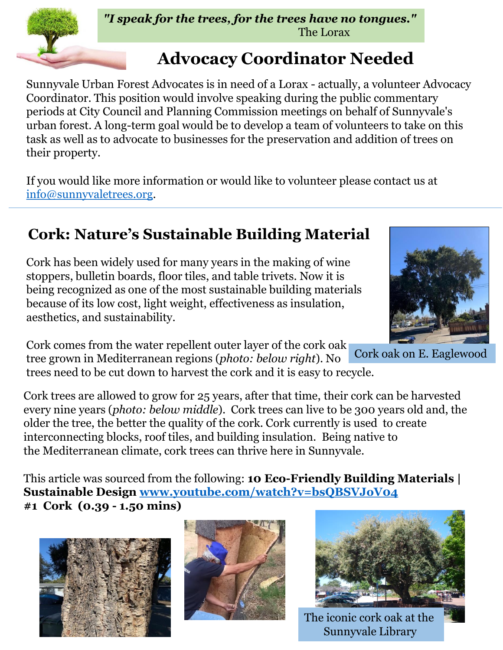# **Advocacy Coordinator Needed**

Sunnyvale Urban Forest Advocates is in need of a Lorax - actually, a volunteer Advocacy Coordinator. This position would involve speaking during the public commentary periods at City Council and Planning Commission meetings on behalf of Sunnyvale's urban forest. A long-term goal would be to develop a team of volunteers to take on this task as well as to advocate to businesses for the preservation and addition of trees on their property.

If you would like more information or would like to volunteer please contact us at [info@sunnyvaletrees.org](mailto:info@sunnyvaletrees.org).

## **Cork: Nature's Sustainable Building Material**

Cork has been widely used for many years in the making of wine stoppers, bulletin boards, floor tiles, and table trivets. Now it is being recognized as one of the most sustainable building materials because of its low cost, light weight, effectiveness as insulation, aesthetics, and sustainability.

Cork comes from the water repellent outer layer of the cork oak tree grown in Mediterranean regions (*photo: below right*). No

trees need to be cut down to harvest the cork and it is easy to recycle.

Cork trees are allowed to grow for 25 years, after that time, their cork can be harvested every nine years (*photo: below middle*). Cork trees can live to be 300 years old and, the older the tree, the better the quality of the cork. Cork currently is used to create interconnecting blocks, roof tiles, and building insulation. Being native to the Mediterranean climate, cork trees can thrive here in Sunnyvale.

This article was sourced from the following: **10 Eco-Friendly Building Materials | Sustainable Design [www.youtube.com/watch?v=bsQBSVJoV04](http://www.youtube.com/watch?v=bsQBSVJoV04) #1 Cork (0.39 - 1.50 mins)**







The iconic cork oak at the Sunnyvale Library



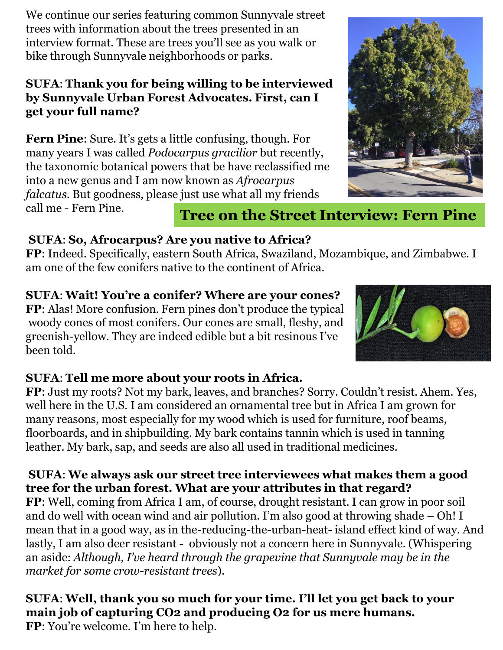We continue our series featuring common Sunnyvale street trees with information about the trees presented in an interview format. These are trees you'll see as you walk or bike through Sunnyvale neighborhoods or parks.

#### **SUFA**: **Thank you for being willing to be interviewed by Sunnyvale Urban Forest Advocates. First, can I get your full name?**

**Fern Pine**: Sure. It's gets a little confusing, though. For many years I was called *Podocarpus gracilior* but recently, the taxonomic botanical powers that be have reclassified me into a new genus and I am now known as *Afrocarpus falcatus*. But goodness, please just use what all my friends call me - Fern Pine.



### **Tree on the Street Interview: Fern Pine**

#### **SUFA**: **So, Afrocarpus? Are you native to Africa?**

**FP**: Indeed. Specifically, eastern South Africa, Swaziland, Mozambique, and Zimbabwe. I am one of the few conifers native to the continent of Africa.

### **SUFA**: **Wait! You're a conifer? Where are your cones?**

**FP**: Alas! More confusion. Fern pines don't produce the typical woody cones of most conifers. Our cones are small, fleshy, and greenish-yellow. They are indeed edible but a bit resinous I've been told.



#### **SUFA**: **Tell me more about your roots in Africa.**

**FP**: Just my roots? Not my bark, leaves, and branches? Sorry. Couldn't resist. Ahem. Yes, well here in the U.S. I am considered an ornamental tree but in Africa I am grown for many reasons, most especially for my wood which is used for furniture, roof beams, floorboards, and in shipbuilding. My bark contains tannin which is used in tanning leather. My bark, sap, and seeds are also all used in traditional medicines.

#### **SUFA**: **We always ask our street tree interviewees what makes them a good tree for the urban forest. What are your attributes in that regard?**

**FP**: Well, coming from Africa I am, of course, drought resistant. I can grow in poor soil and do well with ocean wind and air pollution. I'm also good at throwing shade – Oh! I mean that in a good way, as in the-reducing-the-urban-heat- island effect kind of way. And lastly, I am also deer resistant - obviously not a concern here in Sunnyvale. (Whispering an aside: *Although, I've heard through the grapevine that Sunnyvale may be in the market for some crow-resistant trees*).

#### **SUFA**: **Well, thank you so much for your time. I'll let you get back to your main job of capturing CO2 and producing O2 for us mere humans.**

**FP**: You're welcome. I'm here to help.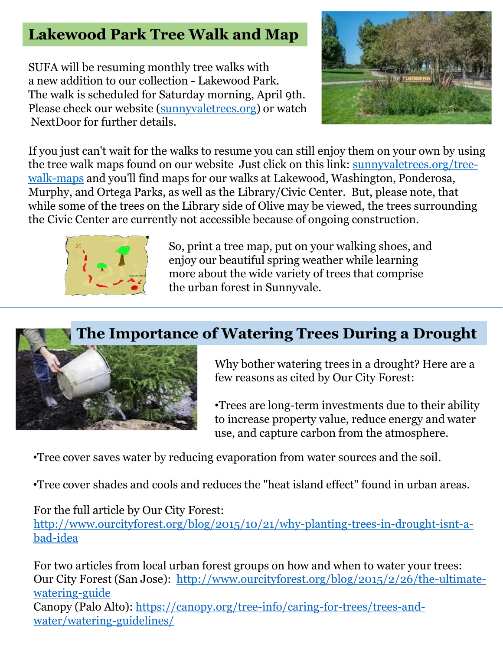### **Lakewood Park Tree Walk and Map**

SUFA will be resuming monthly tree walks with a new addition to our collection - Lakewood Park. The walk is scheduled for Saturday morning, April 9th. Please check our website [\(sunnyvaletrees.org](http://sunnyvaletrees.org/)) or watch NextDoor for further details.



If you just can't wait for the walks to resume you can still enjoy them on your own by using the tree walk maps found on our website Just click on this link: sunnyvaletrees.org/treewalk-maps [and you'll find maps for our walks at Lakewood, Washington, Ponderosa,](http://sunnyvaletrees.org/tree-walk-maps)  Murphy, and Ortega Parks, as well as the Library/Civic Center. But, please note, that while some of the trees on the Library side of Olive may be viewed, the trees surrounding the Civic Center are currently not accessible because of ongoing construction.



So, print a tree map, put on your walking shoes, and enjoy our beautiful spring weather while learning more about the wide variety of trees that comprise the urban forest in Sunnyvale.

### **The Importance of Watering Trees During a Drought**



Why bother watering trees in a drought? Here are a few reasons as cited by Our City Forest:

•Trees are long-term investments due to their ability to increase property value, reduce energy and water use, and capture carbon from the atmosphere.

•Tree cover saves water by reducing evaporation from water sources and the soil.

•Tree cover shades and cools and reduces the "heat island effect" found in urban areas.

For the full article by Our City Forest:

[http://www.ourcityforest.org/blog/2015/10/21/why-planting-trees-in-drought-isnt-a](http://www.ourcityforest.org/blog/2015/10/21/why-planting-trees-in-drought-isnt-a-bad-idea)bad-idea

For two articles from local urban forest groups on how and when to water your trees: Our City Forest (San Jose): [http://www.ourcityforest.org/blog/2015/2/26/the-ultimate](http://www.ourcityforest.org/blog/2015/2/26/the-ultimate-watering-guide)watering-guide Canopy (Palo Alto): [https://canopy.org/tree-info/caring-for-trees/trees-and](https://canopy.org/tree-info/caring-for-trees/trees-and-water/watering-guidelines/)water/watering-guidelines/